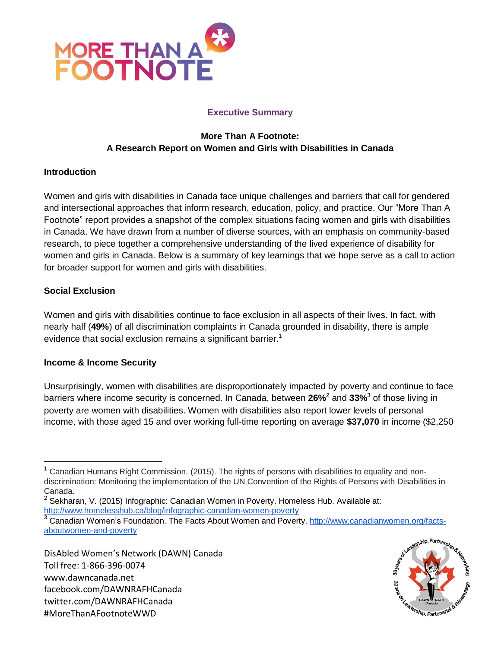

# **Executive Summary**

# **More Than A Footnote: A Research Report on Women and Girls with Disabilities in Canada**

## **Introduction**

Women and girls with disabilities in Canada face unique challenges and barriers that call for gendered and intersectional approaches that inform research, education, policy, and practice. Our "More Than A Footnote" report provides a snapshot of the complex situations facing women and girls with disabilities in Canada. We have drawn from a number of diverse sources, with an emphasis on community-based research, to piece together a comprehensive understanding of the lived experience of disability for women and girls in Canada. Below is a summary of key learnings that we hope serve as a call to action for broader support for women and girls with disabilities.

## **Social Exclusion**

Women and girls with disabilities continue to face exclusion in all aspects of their lives. In fact, with nearly half (**49%**) of all discrimination complaints in Canada grounded in disability, there is ample evidence that social exclusion remains a significant barrier.<sup>1</sup>

## **Income & Income Security**

Unsurprisingly, women with disabilities are disproportionately impacted by poverty and continue to face barriers where income security is concerned. In Canada, between **26%**<sup>2</sup> and **33%**<sup>3</sup> of those living in poverty are women with disabilities. Women with disabilities also report lower levels of personal income, with those aged 15 and over working full-time reporting on average **\$37,070** in income (\$2,250



 $\overline{a}$ Canadian Humans Right Commission. (2015). The rights of persons with disabilities to equality and nondiscrimination: Monitoring the implementation of the UN Convention of the Rights of Persons with Disabilities in Canada.

 $2$  Sekharan, V. (2015) Infographic: Canadian Women in Poverty. Homeless Hub. Available at: <http://www.homelesshub.ca/blog/infographic-canadian-women-poverty>

<sup>&</sup>lt;sup>3</sup> Canadian Women's Foundation. The Facts About Women and Poverty. [http://www.canadianwomen.org/facts](http://www.canadianwomen.org/facts-aboutwomen-and-poverty)[aboutwomen-and-poverty](http://www.canadianwomen.org/facts-aboutwomen-and-poverty)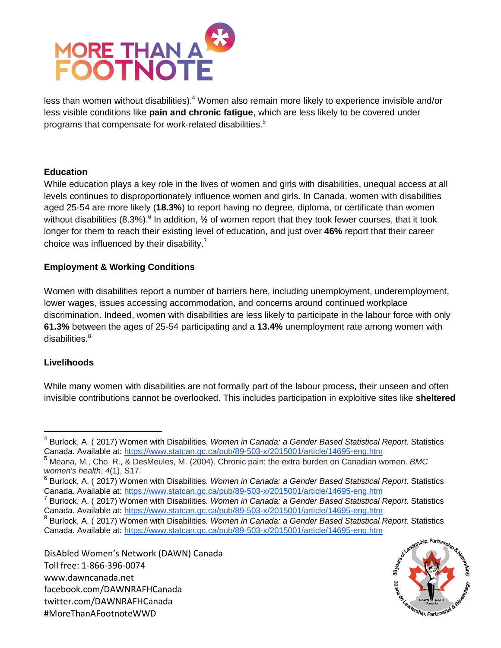

less than women without disabilities).<sup>4</sup> Women also remain more likely to experience invisible and/or less visible conditions like **pain and chronic fatigue**, which are less likely to be covered under programs that compensate for work-related disabilities.<sup>5</sup>

### **Education**

While education plays a key role in the lives of women and girls with disabilities, unequal access at all levels continues to disproportionately influence women and girls. In Canada, women with disabilities aged 25-54 are more likely (**18.3%**) to report having no degree, diploma, or certificate than women without disabilities (8.3%).<sup>6</sup> In addition, 1/<sub>2</sub> of women report that they took fewer courses, that it took longer for them to reach their existing level of education, and just over **46%** report that their career choice was influenced by their disability.<sup>7</sup>

### **Employment & Working Conditions**

Women with disabilities report a number of barriers here, including unemployment, underemployment, lower wages, issues accessing accommodation, and concerns around continued workplace discrimination. Indeed, women with disabilities are less likely to participate in the labour force with only **61.3%** between the ages of 25-54 participating and a **13.4%** unemployment rate among women with  $disabilities.<sup>8</sup>$ 

## **Livelihoods**

 $\overline{a}$ 

While many women with disabilities are not formally part of the labour process, their unseen and often invisible contributions cannot be overlooked. This includes participation in exploitive sites like **sheltered**



<sup>4</sup> Burlock, A. ( 2017) Women with Disabilities. *Women in Canada: a Gender Based Statistical Report*. Statistics Canada. Available at: <https://www.statcan.gc.ca/pub/89-503-x/2015001/article/14695-eng.htm>

<sup>5</sup> Meana, M., Cho, R., & DesMeules, M. (2004). Chronic pain: the extra burden on Canadian women. *BMC women's health*, *4*(1), S17.

<sup>6</sup> Burlock, A. ( 2017) Women with Disabilities. *Women in Canada: a Gender Based Statistical Report*. Statistics Canada. Available at: <https://www.statcan.gc.ca/pub/89-503-x/2015001/article/14695-eng.htm>

<sup>7</sup> Burlock, A. ( 2017) Women with Disabilities. *Women in Canada: a Gender Based Statistical Report*. Statistics Canada. Available at: <https://www.statcan.gc.ca/pub/89-503-x/2015001/article/14695-eng.htm>

<sup>8</sup> Burlock, A. ( 2017) Women with Disabilities. *Women in Canada: a Gender Based Statistical Report*. Statistics Canada. Available at: <https://www.statcan.gc.ca/pub/89-503-x/2015001/article/14695-eng.htm>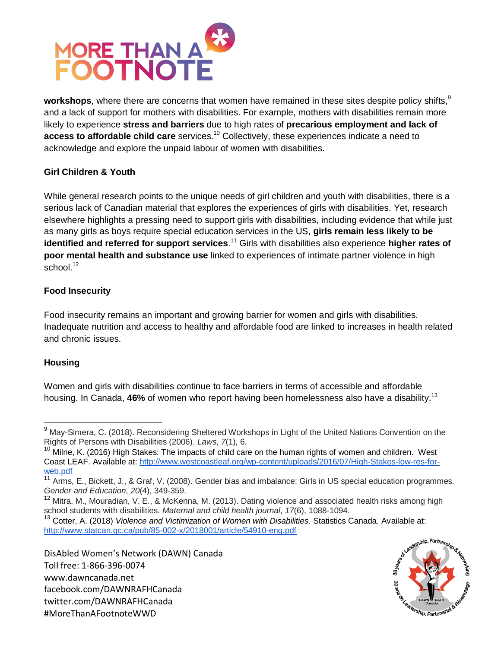

workshops, where there are concerns that women have remained in these sites despite policy shifts,<sup>9</sup> and a lack of support for mothers with disabilities. For example, mothers with disabilities remain more likely to experience **stress and barriers** due to high rates of **precarious employment and lack of access to affordable child care** services.<sup>10</sup> Collectively, these experiences indicate a need to acknowledge and explore the unpaid labour of women with disabilities.

## **Girl Children & Youth**

While general research points to the unique needs of girl children and youth with disabilities, there is a serious lack of Canadian material that explores the experiences of girls with disabilities. Yet, research elsewhere highlights a pressing need to support girls with disabilities, including evidence that while just as many girls as boys require special education services in the US, **girls remain less likely to be identified and referred for support services**. <sup>11</sup> Girls with disabilities also experience **higher rates of poor mental health and substance use** linked to experiences of intimate partner violence in high school. $12$ 

## **Food Insecurity**

Food insecurity remains an important and growing barrier for women and girls with disabilities. Inadequate nutrition and access to healthy and affordable food are linked to increases in health related and chronic issues.

## **Housing**

 $\overline{a}$ 

Women and girls with disabilities continue to face barriers in terms of accessible and affordable housing. In Canada, **46%** of women who report having been homelessness also have a disability.<sup>13</sup>



<sup>&</sup>lt;sup>9</sup> May-Simera, C. (2018). Reconsidering Sheltered Workshops in Light of the United Nations Convention on the Rights of Persons with Disabilities (2006). *Laws*, *7*(1), 6.

 $10$  Milne, K. (2016) High Stakes: The impacts of child care on the human rights of women and children. West Coast LEAF. Available at: [http://www.westcoastleaf.org/wp-content/uploads/2016/07/High-Stakes-low-res-for](http://www.westcoastleaf.org/wp-content/uploads/2016/07/High-Stakes-low-res-for-web.pdf)[web.pdf](http://www.westcoastleaf.org/wp-content/uploads/2016/07/High-Stakes-low-res-for-web.pdf)

<sup>11</sup> Arms, E., Bickett, J., & Graf, V. (2008). Gender bias and imbalance: Girls in US special education programmes. *Gender and Education*, *20*(4), 349-359.

<sup>&</sup>lt;sup>12</sup> Mitra, M., Mouradian, V. E., & McKenna, M. (2013). Dating violence and associated health risks among high school students with disabilities. *Maternal and child health journal*, *17*(6), 1088-1094.

<sup>13</sup> Cotter, A. (2018) *Violence and Victimization of Women with Disabilities.* Statistics Canada. Available at: <http://www.statcan.gc.ca/pub/85-002-x/2018001/article/54910-eng.pdf>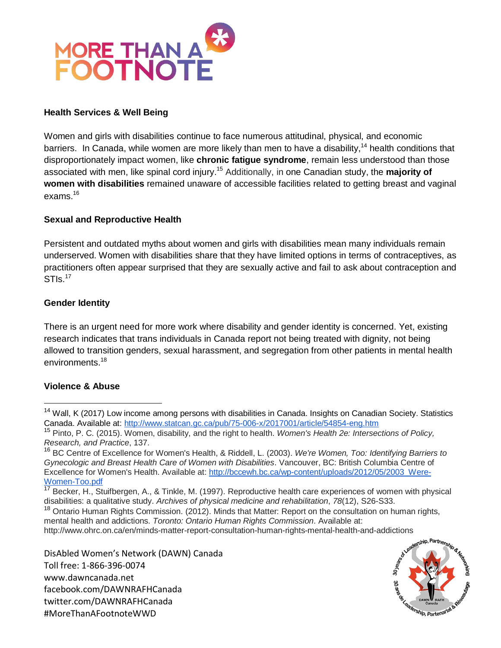

#### **Health Services & Well Being**

Women and girls with disabilities continue to face numerous attitudinal, physical, and economic barriers. In Canada, while women are more likely than men to have a disability,<sup>14</sup> health conditions that disproportionately impact women, like **chronic fatigue syndrome**, remain less understood than those associated with men, like spinal cord injury.<sup>15</sup> Additionally, in one Canadian study, the **majority of women with disabilities** remained unaware of accessible facilities related to getting breast and vaginal exams. $16$ 

### **Sexual and Reproductive Health**

Persistent and outdated myths about women and girls with disabilities mean many individuals remain underserved. Women with disabilities share that they have limited options in terms of contraceptives, as practitioners often appear surprised that they are sexually active and fail to ask about contraception and  $STIs.<sup>17</sup>$ 

### **Gender Identity**

There is an urgent need for more work where disability and gender identity is concerned. Yet, existing research indicates that trans individuals in Canada report not being treated with dignity, not being allowed to transition genders, sexual harassment, and segregation from other patients in mental health environments<sup>18</sup>

#### **Violence & Abuse**

 $\overline{a}$ 

http://www.ohrc.on.ca/en/minds-matter-report-consultation-human-rights-mental-health-and-addictions



 $14$  Wall, K (2017) Low income among persons with disabilities in Canada. Insights on Canadian Society. Statistics Canada. Available at: <http://www.statcan.gc.ca/pub/75-006-x/2017001/article/54854-eng.htm>

<sup>15</sup> Pinto, P. C. (2015). Women, disability, and the right to health. *Women's Health 2e: Intersections of Policy, Research, and Practice*, 137.

<sup>16</sup> BC Centre of Excellence for Women's Health, & Riddell, L. (2003). *We're Women, Too: Identifying Barriers to Gynecologic and Breast Health Care of Women with Disabilities*. Vancouver, BC: British Columbia Centre of Excellence for Women's Health. Available at: [http://bccewh.bc.ca/wp-content/uploads/2012/05/2003\\_Were-](http://bccewh.bc.ca/wp-content/uploads/2012/05/2003_Were-Women-Too.pdf)[Women-Too.pdf](http://bccewh.bc.ca/wp-content/uploads/2012/05/2003_Were-Women-Too.pdf)

<sup>17</sup> Becker, H., Stuifbergen, A., & Tinkle, M. (1997). Reproductive health care experiences of women with physical disabilities: a qualitative study. *Archives of physical medicine and rehabilitation*, *78*(12), S26-S33.

<sup>&</sup>lt;sup>18</sup> Ontario Human Rights Commission. (2012). Minds that Matter: Report on the consultation on human rights, mental health and addictions. *Toronto: Ontario Human Rights Commission*. Available at: